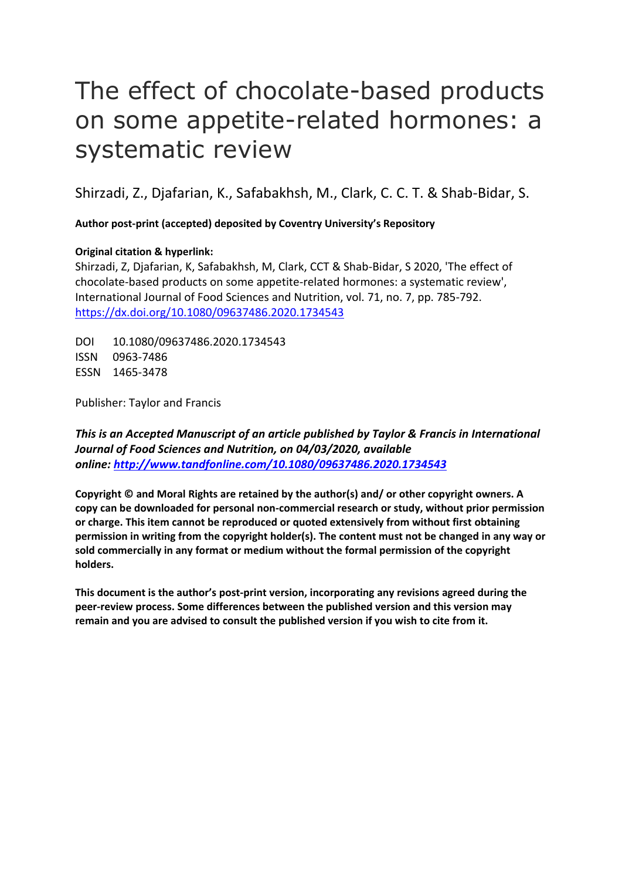# The effect of chocolate-based products on some appetite-related hormones: a systematic review

Shirzadi, Z., Djafarian, K., Safabakhsh, M., Clark, C. C. T. & Shab-Bidar, S.

**Author post-print (accepted) deposited by Coventry University's Repository**

### **Original citation & hyperlink:**

Shirzadi, Z, Djafarian, K, Safabakhsh, M, Clark, CCT & Shab-Bidar, S 2020, 'The effect of chocolate-based products on some appetite-related hormones: a systematic review', International Journal of Food Sciences and Nutrition, vol. 71, no. 7, pp. 785-792. <https://dx.doi.org/10.1080/09637486.2020.1734543>

DOI 10.1080/09637486.2020.1734543 ISSN 0963-7486 ESSN 1465-3478

Publisher: Taylor and Francis

*This is an Accepted Manuscript of an article published by Taylor & Francis in International Journal of Food Sciences and Nutrition, on 04/03/2020, available online: [http://www.tandfonline.com/1](http://www.tandfonline.com/)0.1080/09637486.2020.1734543*

**Copyright © and Moral Rights are retained by the author(s) and/ or other copyright owners. A copy can be downloaded for personal non-commercial research or study, without prior permission or charge. This item cannot be reproduced or quoted extensively from without first obtaining permission in writing from the copyright holder(s). The content must not be changed in any way or sold commercially in any format or medium without the formal permission of the copyright holders.** 

**This document is the author's post-print version, incorporating any revisions agreed during the peer-review process. Some differences between the published version and this version may remain and you are advised to consult the published version if you wish to cite from it.**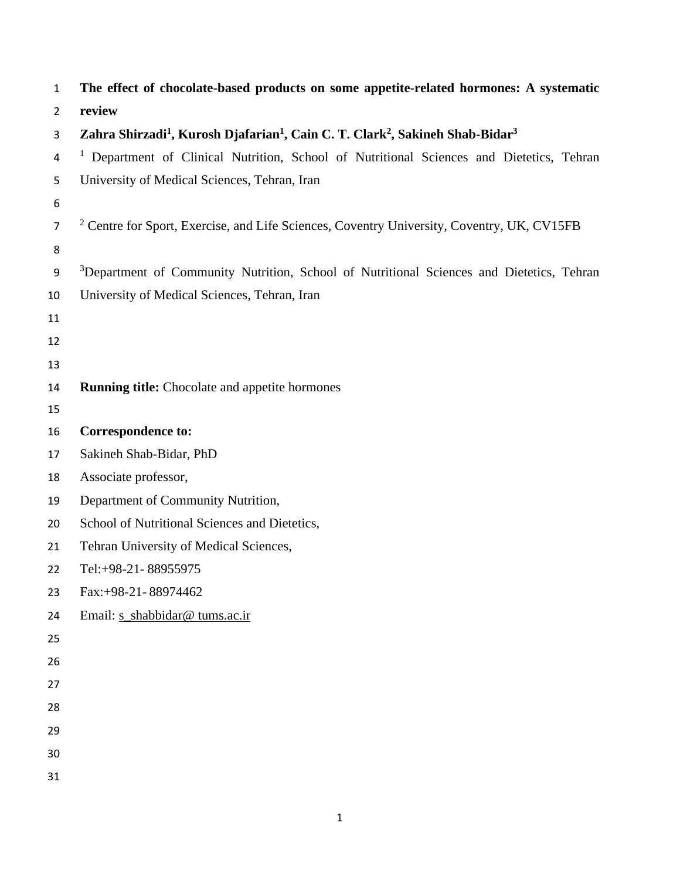| $\mathbf{1}$   | The effect of chocolate-based products on some appetite-related hormones: A systematic                                        |
|----------------|-------------------------------------------------------------------------------------------------------------------------------|
| $\overline{2}$ | review                                                                                                                        |
| 3              | Zahra Shirzadi <sup>1</sup> , Kurosh Djafarian <sup>1</sup> , Cain C. T. Clark <sup>2</sup> , Sakineh Shab-Bidar <sup>3</sup> |
| 4              | <sup>1</sup> Department of Clinical Nutrition, School of Nutritional Sciences and Dietetics, Tehran                           |
| 5              | University of Medical Sciences, Tehran, Iran                                                                                  |
| 6              |                                                                                                                               |
| $\overline{7}$ | <sup>2</sup> Centre for Sport, Exercise, and Life Sciences, Coventry University, Coventry, UK, CV15FB                         |
| 8              |                                                                                                                               |
| 9              | <sup>3</sup> Department of Community Nutrition, School of Nutritional Sciences and Dietetics, Tehran                          |
| 10             | University of Medical Sciences, Tehran, Iran                                                                                  |
| 11             |                                                                                                                               |
| 12             |                                                                                                                               |
| 13             |                                                                                                                               |
| 14             | <b>Running title:</b> Chocolate and appetite hormones                                                                         |
| 15             |                                                                                                                               |
| 16             | <b>Correspondence to:</b>                                                                                                     |
| 17             | Sakineh Shab-Bidar, PhD                                                                                                       |
| 18             | Associate professor,                                                                                                          |
| 19             | Department of Community Nutrition,                                                                                            |
| 20             | School of Nutritional Sciences and Dietetics,                                                                                 |
| 21             | Tehran University of Medical Sciences,                                                                                        |
| 22             | Tel:+98-21-88955975                                                                                                           |
| 23             | Fax:+98-21-88974462                                                                                                           |
| 24             | Email: s_shabbidar@ tums.ac.ir                                                                                                |
| 25             |                                                                                                                               |
| 26             |                                                                                                                               |
| 27             |                                                                                                                               |
| 28             |                                                                                                                               |
| 29             |                                                                                                                               |
| 30             |                                                                                                                               |
| 31             |                                                                                                                               |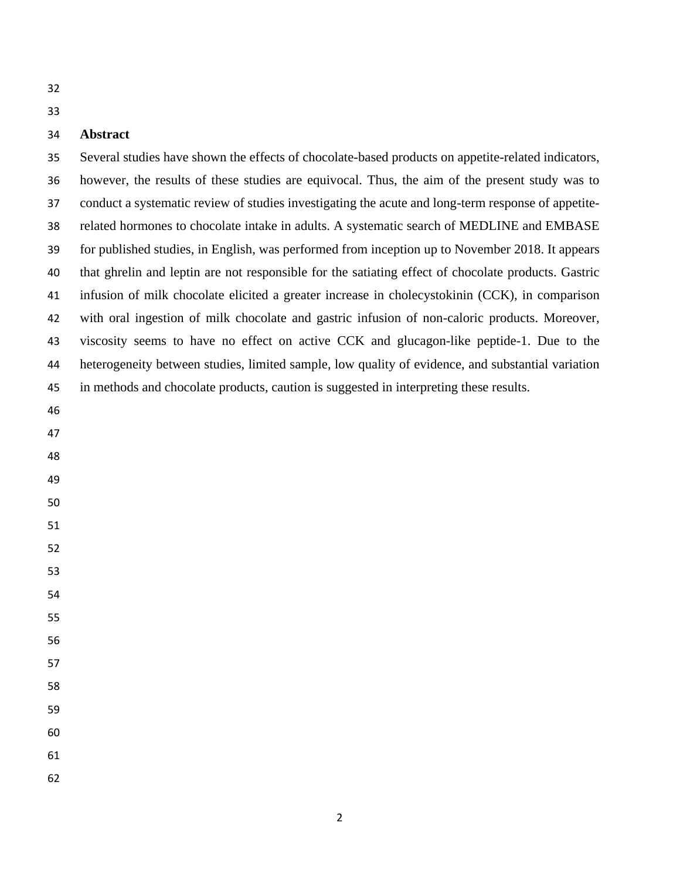# **Abstract**

 Several studies have shown the effects of chocolate-based products on appetite-related indicators, however, the results of these studies are equivocal. Thus, the aim of the present study was to conduct a systematic review of studies investigating the acute and long-term response of appetite- related hormones to chocolate intake in adults. A systematic search of MEDLINE and EMBASE for published studies, in English, was performed from inception up to November 2018. It appears that ghrelin and leptin are not responsible for the satiating effect of chocolate products. Gastric infusion of milk chocolate elicited a greater increase in cholecystokinin (CCK), in comparison with oral ingestion of milk chocolate and gastric infusion of non-caloric products. Moreover, viscosity seems to have no effect on active CCK and glucagon-like peptide-1. Due to the heterogeneity between studies, limited sample, low quality of evidence, and substantial variation in methods and chocolate products, caution is suggested in interpreting these results.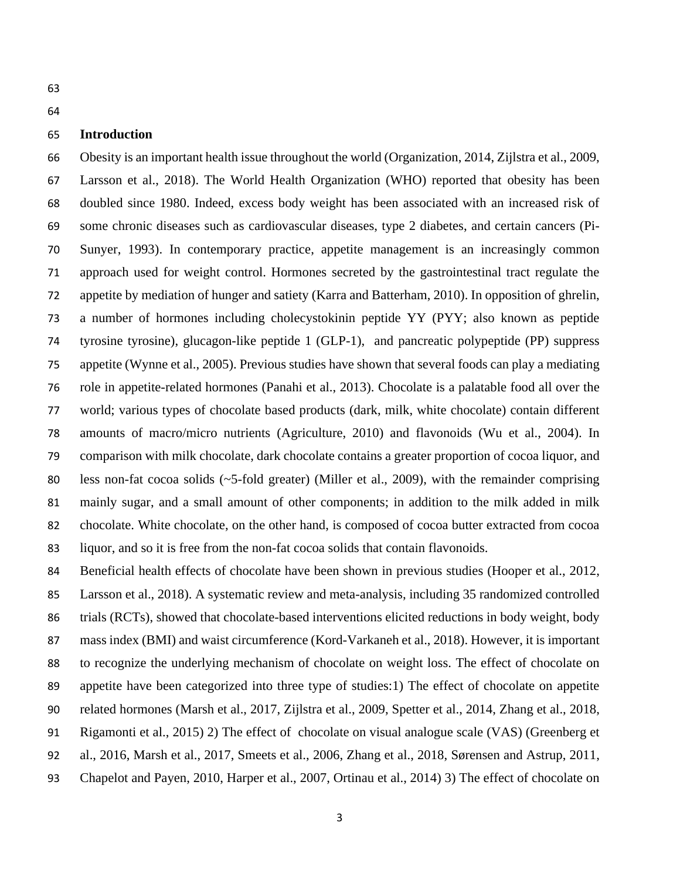#### **Introduction**

 Obesity is an important health issue throughout the world [\(Organization, 2014,](#page-12-0) [Zijlstra et al., 2009,](#page-13-0) [Larsson et al., 2018\)](#page-12-1). The World Health Organization (WHO) reported that obesity has been doubled since 1980. Indeed, excess body weight has been associated with an increased risk of some chronic diseases such as cardiovascular diseases, type 2 diabetes, and certain cancers [\(Pi-](#page-12-2) [Sunyer, 1993\)](#page-12-2). In contemporary practice, appetite management is an increasingly common approach used for weight control. Hormones secreted by the gastrointestinal tract regulate the appetite by mediation of hunger and satiety [\(Karra and Batterham, 2010\)](#page-12-3). In opposition of ghrelin, a number of hormones including cholecystokinin peptide YY (PYY; also known as peptide tyrosine tyrosine), glucagon-like peptide 1 (GLP-1), and pancreatic polypeptide (PP) suppress appetite [\(Wynne et al., 2005\)](#page-13-1). Previous studies have shown that several foods can play a mediating role in appetite-related hormones [\(Panahi et al., 2013\)](#page-12-4). Chocolate is a palatable food all over the world; various types of chocolate based products (dark, milk, white chocolate) contain different amounts of macro/micro nutrients [\(Agriculture, 2010\)](#page-11-0) and flavonoids [\(Wu et al., 2004\)](#page-13-2). In comparison with milk chocolate, dark chocolate contains a greater proportion of cocoa liquor, and 80 less non-fat cocoa solids (~5-fold greater) [\(Miller et al., 2009\)](#page-12-5), with the remainder comprising mainly sugar, and a small amount of other components; in addition to the milk added in milk chocolate. White chocolate, on the other hand, is composed of cocoa butter extracted from cocoa liquor, and so it is free from the non-fat cocoa solids that contain flavonoids.

 Beneficial health effects of chocolate have been shown in previous studies [\(Hooper et al., 2012,](#page-12-6) [Larsson et al., 2018\)](#page-12-1). A systematic review and meta-analysis, including 35 randomized controlled 86 trials (RCTs), showed that chocolate-based interventions elicited reductions in body weight, body mass index (BMI) and waist circumference [\(Kord-Varkaneh et al., 2018\)](#page-12-7). However, it is important to recognize the underlying mechanism of chocolate on weight loss. The effect of chocolate on appetite have been categorized into three type of studies:1) The effect of chocolate on appetite related hormones [\(Marsh et al., 2017,](#page-12-8) [Zijlstra et al., 2009,](#page-13-0) [Spetter et al., 2014,](#page-13-3) [Zhang et al., 2018,](#page-13-4) [Rigamonti et al., 2015\)](#page-13-5) 2) The effect of chocolate on visual analogue scale (VAS) [\(Greenberg et](#page-12-9)  [al., 2016,](#page-12-9) [Marsh et al., 2017,](#page-12-8) [Smeets et al., 2006,](#page-13-6) [Zhang et al., 2018,](#page-13-4) [Sørensen and Astrup, 2011,](#page-13-7) [Chapelot and Payen, 2010,](#page-11-1) [Harper et al., 2007,](#page-12-10) [Ortinau et al., 2014\)](#page-12-11) 3) The effect of chocolate on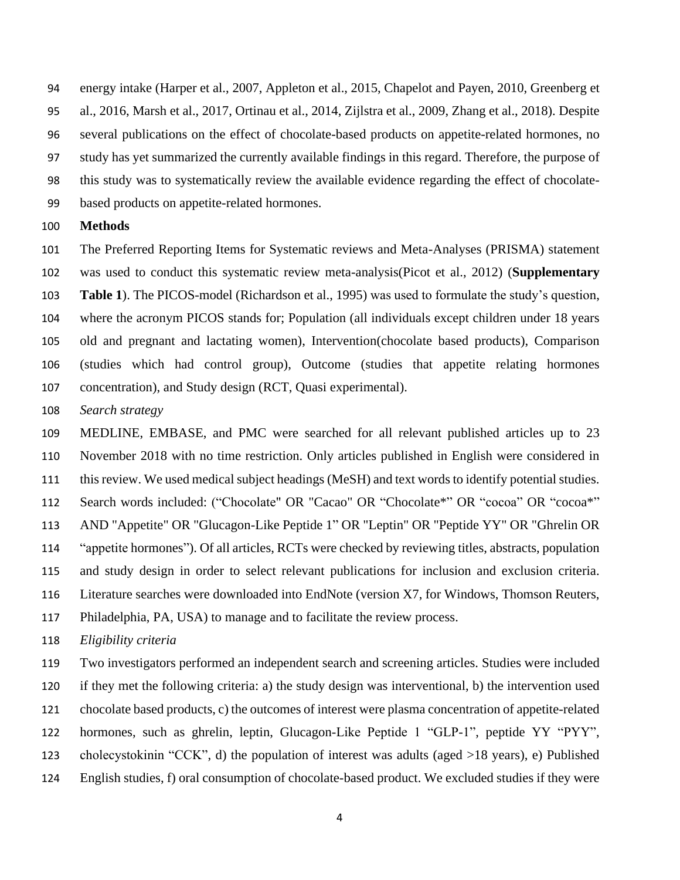energy intake [\(Harper et al., 2007,](#page-12-10) [Appleton et al., 2015,](#page-11-2) [Chapelot and Payen, 2010,](#page-11-1) [Greenberg et](#page-12-9)  [al., 2016,](#page-12-9) [Marsh et al., 2017,](#page-12-8) [Ortinau et al., 2014,](#page-12-11) [Zijlstra et al., 2009,](#page-13-0) [Zhang et al., 2018\)](#page-13-4). Despite several publications on the effect of chocolate-based products on appetite-related hormones, no study has yet summarized the currently available findings in this regard. Therefore, the purpose of this study was to systematically review the available evidence regarding the effect of chocolate-based products on appetite-related hormones.

#### **Methods**

 The Preferred Reporting Items for Systematic reviews and Meta-Analyses (PRISMA) statement was used to conduct this systematic review meta-analysis[\(Picot et al., 2012\)](#page-12-12) (**Supplementary Table 1**). The PICOS-model [\(Richardson et al., 1995\)](#page-12-13) was used to formulate the study's question, where the acronym PICOS stands for; Population (all individuals except children under 18 years old and pregnant and lactating women), Intervention(chocolate based products), Comparison (studies which had control group), Outcome (studies that appetite relating hormones concentration), and Study design (RCT, Quasi experimental).

*Search strategy*

 MEDLINE, EMBASE, and PMC were searched for all relevant published articles up to 23 November 2018 with no time restriction. Only articles published in English were considered in this review. We used medical subject headings (MeSH) and text words to identify potential studies. 112 Search words included: ("Chocolate" OR "Cacao" OR "Chocolate\*" OR "cocoa" OR "cocoa\*" AND "Appetite" OR "Glucagon-Like Peptide 1" OR "Leptin" OR "Peptide YY" OR "Ghrelin OR "appetite hormones"). Of all articles, RCTs were checked by reviewing titles, abstracts, population and study design in order to select relevant publications for inclusion and exclusion criteria. Literature searches were downloaded into EndNote (version X7, for Windows, Thomson Reuters, Philadelphia, PA, USA) to manage and to facilitate the review process.

*Eligibility criteria*

 Two investigators performed an independent search and screening articles. Studies were included if they met the following criteria: a) the study design was interventional, b) the intervention used chocolate based products, c) the outcomes of interest were plasma concentration of appetite-related hormones, such as ghrelin, leptin, Glucagon-Like Peptide 1 "GLP-1", peptide YY "PYY", cholecystokinin "CCK", d) the population of interest was adults (aged >18 years), e) Published English studies, f) oral consumption of chocolate-based product. We excluded studies if they were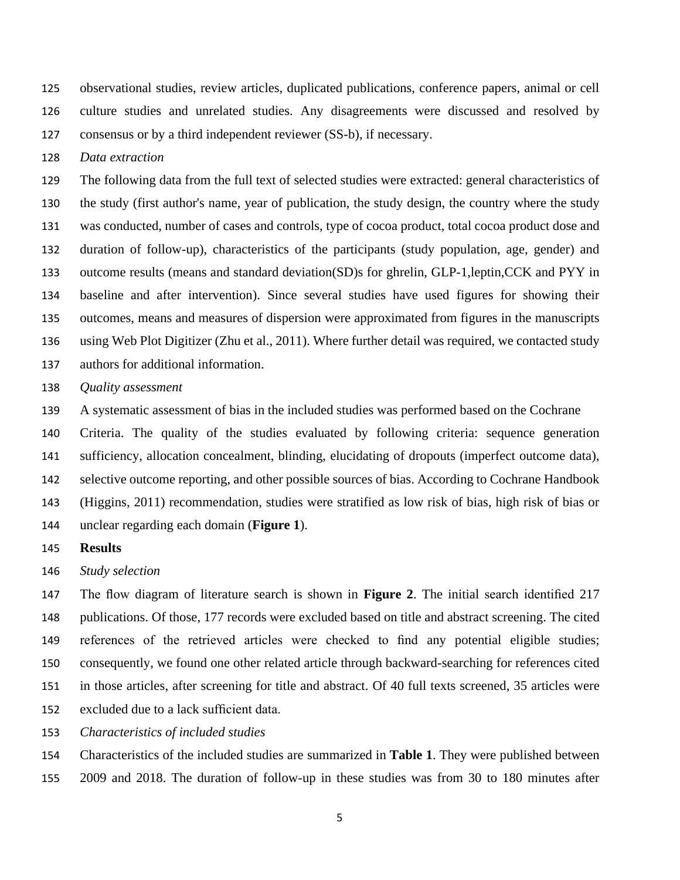observational studies, review articles, duplicated publications, conference papers, animal or cell culture studies and unrelated studies. Any disagreements were discussed and resolved by consensus or by a third independent reviewer (SS-b), if necessary.

*Data extraction*

 The following data from the full text of selected studies were extracted: general characteristics of the study (first author's name, year of publication, the study design, the country where the study was conducted, number of cases and controls, type of cocoa product, total cocoa product dose and duration of follow-up), characteristics of the participants (study population, age, gender) and outcome results (means and standard deviation(SD)s for ghrelin, GLP-1,leptin,CCK and PYY in baseline and after intervention). Since several studies have used figures for showing their outcomes, means and measures of dispersion were approximated from figures in the manuscripts using Web Plot Digitizer [\(Zhu et al., 2011\)](#page-13-8). Where further detail was required, we contacted study authors for additional information.

#### *Quality assessment*

A systematic assessment of bias in the included studies was performed based on the Cochrane

 Criteria. The quality of the studies evaluated by following criteria: sequence generation sufficiency, allocation concealment, blinding, elucidating of dropouts (imperfect outcome data), 142 selective outcome reporting, and other possible sources of bias. According to Cochrane Handbook [\(Higgins, 2011\)](#page-12-14) recommendation, studies were stratified as low risk of bias, high risk of bias or unclear regarding each domain (**Figure 1**).

#### **Results**

*Study selection*

 The flow diagram of literature search is shown in **Figure 2**. The initial search identified 217 publications. Of those, 177 records were excluded based on title and abstract screening. The cited references of the retrieved articles were checked to find any potential eligible studies; consequently, we found one other related article through backward-searching for references cited in those articles, after screening for title and abstract. Of 40 full texts screened, 35 articles were excluded due to a lack sufficient data.

*Characteristics of included studies*

 Characteristics of the included studies are summarized in **Table 1**. They were published between 2009 and 2018. The duration of follow-up in these studies was from 30 to 180 minutes after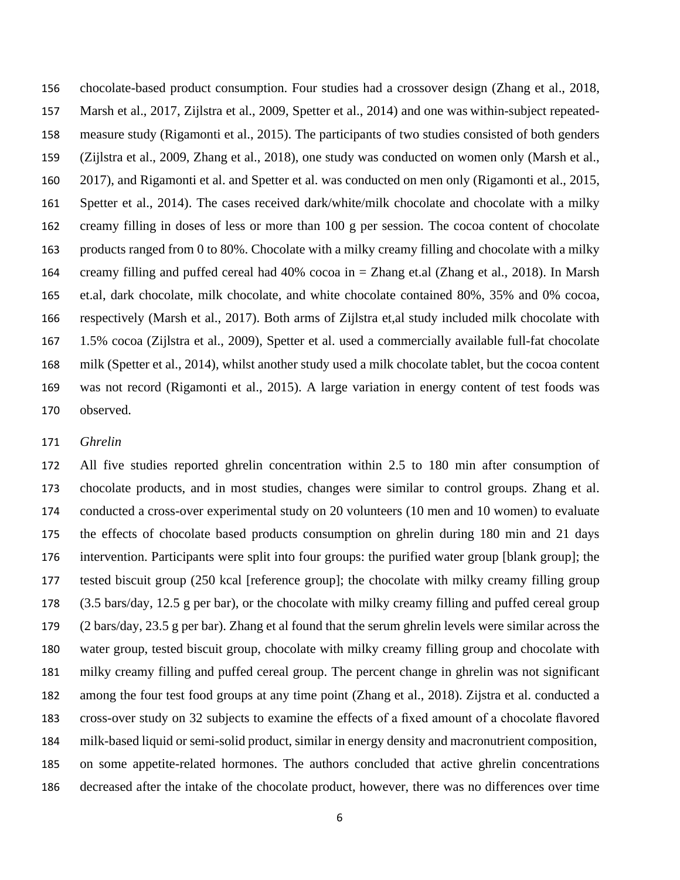chocolate-based product consumption. Four studies had a crossover design [\(Zhang et al., 2018,](#page-13-4) [Marsh et al., 2017,](#page-12-8) [Zijlstra et al., 2009,](#page-13-0) [Spetter et al., 2014\)](#page-13-3) and one was within-subject repeated- measure study [\(Rigamonti et al., 2015\)](#page-13-5). The participants of two studies consisted of both genders [\(Zijlstra et al., 2009,](#page-13-0) [Zhang et al., 2018\)](#page-13-4), one study was conducted on women only [\(Marsh et al.,](#page-12-8)  [2017\)](#page-12-8), and Rigamonti et al. and Spetter et al. was conducted on men only [\(Rigamonti et al., 2015,](#page-13-5) [Spetter et al., 2014\)](#page-13-3). The cases received dark/white/milk chocolate and chocolate with a milky creamy filling in doses of less or more than 100 g per session. The cocoa content of chocolate products ranged from 0 to 80%. Chocolate with a milky creamy filling and chocolate with a milky creamy filling and puffed cereal had 40% cocoa in = Zhang et.al [\(Zhang et al., 2018\)](#page-13-4). In Marsh et.al, dark chocolate, milk chocolate, and white chocolate contained 80%, 35% and 0% cocoa, respectively [\(Marsh et al., 2017\)](#page-12-8). Both arms of Zijlstra et,al study included milk chocolate with 1.5% cocoa [\(Zijlstra et al., 2009\)](#page-13-0), Spetter et al. used a commercially available full-fat chocolate milk [\(Spetter et al., 2014\)](#page-13-3), whilst another study used a milk chocolate tablet, but the cocoa content was not record [\(Rigamonti et al., 2015\)](#page-13-5). A large variation in energy content of test foods was observed.

#### *Ghrelin*

 All five studies reported ghrelin concentration within 2.5 to 180 min after consumption of chocolate products, and in most studies, changes were similar to control groups. Zhang et al. conducted a cross-over experimental study on 20 volunteers (10 men and 10 women) to evaluate the effects of chocolate based products consumption on ghrelin during 180 min and 21 days intervention. Participants were split into four groups: the purified water group [blank group]; the tested biscuit group (250 kcal [reference group]; the chocolate with milky creamy filling group (3.5 bars/day, 12.5 g per bar), or the chocolate with milky creamy filling and puffed cereal group (2 bars/day, 23.5 g per bar). Zhang et al found that the serum ghrelin levels were similar across the water group, tested biscuit group, chocolate with milky creamy filling group and chocolate with milky creamy filling and puffed cereal group. The percent change in ghrelin was not significant among the four test food groups at any time point [\(Zhang et al., 2018\)](#page-13-4). Zijstra et al. conducted a cross-over study on 32 subjects to examine the effects of a fixed amount of a chocolate flavored milk-based liquid or semi-solid product, similar in energy density and macronutrient composition, on some appetite-related hormones. The authors concluded that active ghrelin concentrations decreased after the intake of the chocolate product, however, there was no differences over time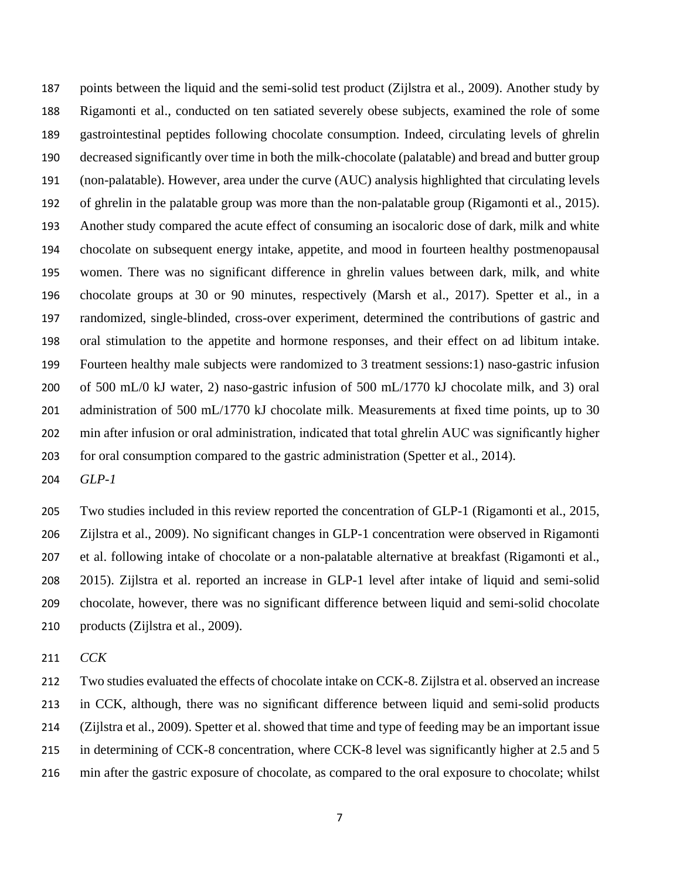points between the liquid and the semi-solid test product [\(Zijlstra et al.,](#page-13-0) 2009). Another study by Rigamonti et al., conducted on ten satiated severely obese subjects, examined the role of some gastrointestinal peptides following chocolate consumption. Indeed, circulating levels of ghrelin decreased significantly over time in both the milk-chocolate (palatable) and bread and butter group (non-palatable). However, area under the curve (AUC) analysis highlighted that circulating levels of ghrelin in the palatable group was more than the non-palatable group [\(Rigamonti et al., 2015\)](#page-13-5). Another study compared the acute effect of consuming an isocaloric dose of dark, milk and white chocolate on subsequent energy intake, appetite, and mood in fourteen healthy postmenopausal women. There was no significant difference in ghrelin values between dark, milk, and white chocolate groups at 30 or 90 minutes, respectively [\(Marsh et al., 2017\)](#page-12-8). Spetter et al., in a randomized, single-blinded, cross-over experiment, determined the contributions of gastric and oral stimulation to the appetite and hormone responses, and their effect on ad libitum intake. Fourteen healthy male subjects were randomized to 3 treatment sessions:1) naso-gastric infusion of 500 mL/0 kJ water, 2) naso-gastric infusion of 500 mL/1770 kJ chocolate milk, and 3) oral 201 administration of 500 mL/1770 kJ chocolate milk. Measurements at fixed time points, up to 30 min after infusion or oral administration, indicated that total ghrelin AUC was significantly higher for oral consumption compared to the gastric administration [\(Spetter et al., 2014\)](#page-13-3).

*GLP-1*

 Two studies included in this review reported the concentration of GLP-1 [\(Rigamonti et al., 2015,](#page-13-5) [Zijlstra et al., 2009\)](#page-13-0). No significant changes in GLP-1 concentration were observed in Rigamonti et al. following intake of chocolate or a non-palatable alternative at breakfast [\(Rigamonti et al.,](#page-13-5)  [2015\)](#page-13-5). Zijlstra et al. reported an increase in GLP-1 level after intake of liquid and semi-solid chocolate, however, there was no significant difference between liquid and semi-solid chocolate products [\(Zijlstra et al., 2009\)](#page-13-0).

*CCK*

 Two studies evaluated the effects of chocolate intake on CCK-8. Zijlstra et al. observed an increase in CCK, although, there was no significant difference between liquid and semi-solid products [\(Zijlstra et al.,](#page-13-0) 2009). Spetter et al. showed that time and type of feeding may be an important issue 215 in determining of CCK-8 concentration, where CCK-8 level was significantly higher at 2.5 and 5 min after the gastric exposure of chocolate, as compared to the oral exposure to chocolate; whilst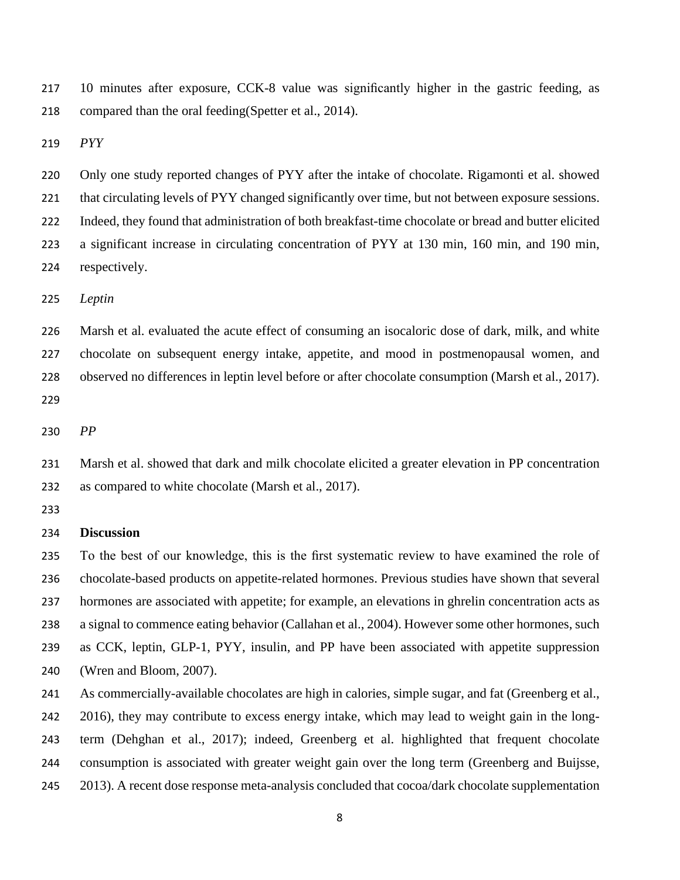10 minutes after exposure, CCK-8 value was significantly higher in the gastric feeding, as compared than the oral feeding[\(Spetter et al., 2014\)](#page-13-3).

*PYY*

 Only one study reported changes of PYY after the intake of chocolate. Rigamonti et al. showed that circulating levels of PYY changed significantly over time, but not between exposure sessions. Indeed, they found that administration of both breakfast-time chocolate or bread and butter elicited a significant increase in circulating concentration of PYY at 130 min, 160 min, and 190 min, respectively.

*Leptin*

 Marsh et al. evaluated the acute effect of consuming an isocaloric dose of dark, milk, and white chocolate on subsequent energy intake, appetite, and mood in postmenopausal women, and observed no differences in leptin level before or after chocolate consumption [\(Marsh et al., 2017\)](#page-12-8). 

*PP* 

 Marsh et al. showed that dark and milk chocolate elicited a greater elevation in PP concentration as compared to white chocolate [\(Marsh et al., 2017\)](#page-12-8).

#### **Discussion**

 To the best of our knowledge, this is the first systematic review to have examined the role of chocolate-based products on appetite-related hormones. Previous studies have shown that several hormones are associated with appetite; for example, an elevations in ghrelin concentration acts as a signal to commence eating behavior [\(Callahan et al., 2004\)](#page-11-3). However some other hormones, such as CCK, leptin, GLP-1, PYY, insulin, and PP have been associated with appetite suppression [\(Wren and Bloom, 2007\)](#page-13-9).

 As commercially-available chocolates are high in calories, simple sugar, and fat [\(Greenberg et al.,](#page-12-9)  [2016\)](#page-12-9), they may contribute to excess energy intake, which may lead to weight gain in the long- term [\(Dehghan et al., 2017\)](#page-11-4); indeed, Greenberg et al. highlighted that frequent chocolate consumption is associated with greater weight gain over the long term [\(Greenberg and Buijsse,](#page-12-15)  [2013\)](#page-12-15). A recent dose response meta-analysis concluded that cocoa/dark chocolate supplementation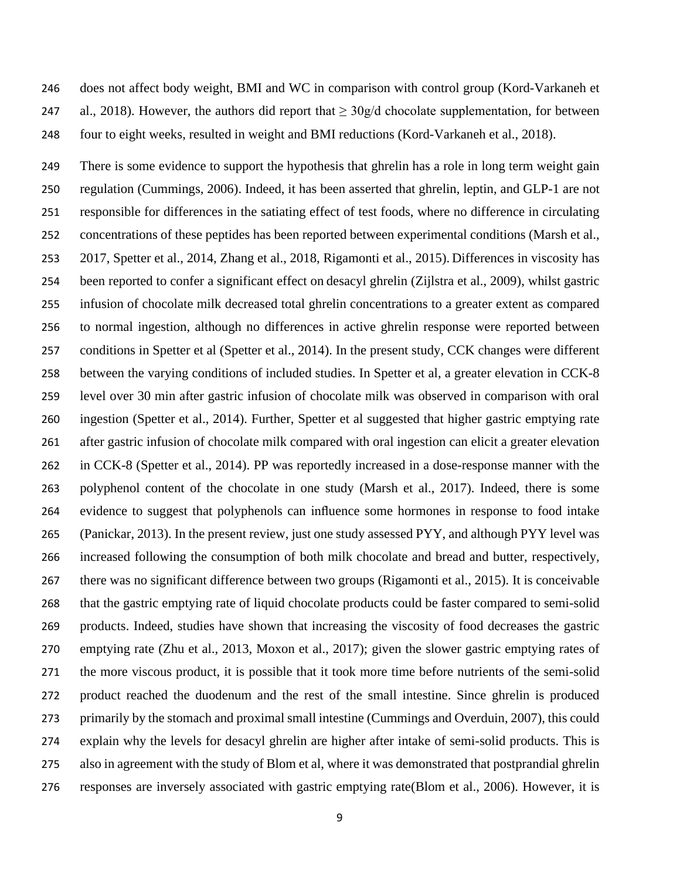does not affect body weight, BMI and WC in comparison with control group [\(Kord-Varkaneh et](#page-12-7)  247 [al., 2018\)](#page-12-7). However, the authors did report that  $\geq 30g/d$  chocolate supplementation, for between four to eight weeks, resulted in weight and BMI reductions [\(Kord-Varkaneh et al., 2018\)](#page-12-7).

 There is some evidence to support the hypothesis that ghrelin has a role in long term weight gain regulation [\(Cummings, 2006\)](#page-11-5). Indeed, it has been asserted that ghrelin, leptin, and GLP-1 are not responsible for differences in the satiating effect of test foods, where no difference in circulating concentrations of these peptides has been reported between experimental conditions [\(Marsh et al.,](#page-12-8)  [2017,](#page-12-8) [Spetter et al., 2014,](#page-13-3) [Zhang et al., 2018,](#page-13-4) [Rigamonti et al., 2015\)](#page-13-5). Differences in viscosity has been reported to confer a significant effect on desacyl ghrelin [\(Zijlstra et al., 2009\)](#page-13-0), whilst gastric infusion of chocolate milk decreased total ghrelin concentrations to a greater extent as compared to normal ingestion, although no differences in active ghrelin response were reported between conditions in Spetter et al [\(Spetter et al., 2014\)](#page-13-3). In the present study, CCK changes were different between the varying conditions of included studies. In Spetter et al, a greater elevation in CCK-8 level over 30 min after gastric infusion of chocolate milk was observed in comparison with oral ingestion [\(Spetter et al., 2014\)](#page-13-3). Further, Spetter et al suggested that higher gastric emptying rate after gastric infusion of chocolate milk compared with oral ingestion can elicit a greater elevation in CCK-8 [\(Spetter et al., 2014\)](#page-13-3). PP was reportedly increased in a dose-response manner with the polyphenol content of the chocolate in one study [\(Marsh et al., 2017\)](#page-12-8). Indeed, there is some evidence to suggest that polyphenols can influence some hormones in response to food intake [\(Panickar, 2013\)](#page-12-16). In the present review, just one study assessed PYY, and although PYY level was increased following the consumption of both milk chocolate and bread and butter, respectively, there was no significant difference between two groups [\(Rigamonti et al., 2015\)](#page-13-5). It is conceivable that the gastric emptying rate of liquid chocolate products could be faster compared to semi-solid products. Indeed, studies have shown that increasing the viscosity of food decreases the gastric emptying rate [\(Zhu et al., 2013,](#page-13-10) [Moxon et al., 2017\)](#page-12-17); given the slower gastric emptying rates of the more viscous product, it is possible that it took more time before nutrients of the semi-solid product reached the duodenum and the rest of the small intestine. Since ghrelin is produced primarily by the stomach and proximal small intestine [\(Cummings and Overduin, 2007\)](#page-11-6), this could explain why the levels for desacyl ghrelin are higher after intake of semi-solid products. This is also in agreement with the study of Blom et al, where it was demonstrated that postprandial ghrelin responses are inversely associated with gastric emptying rate[\(Blom et al., 2006\)](#page-11-7). However, it is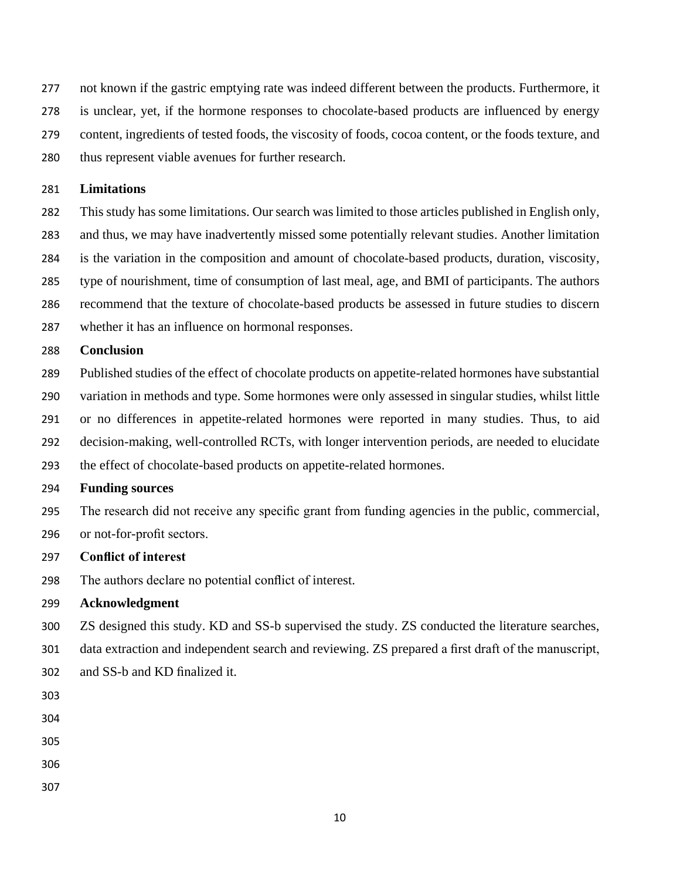not known if the gastric emptying rate was indeed different between the products. Furthermore, it is unclear, yet, if the hormone responses to chocolate-based products are influenced by energy content, ingredients of tested foods, the viscosity of foods, cocoa content, or the foods texture, and thus represent viable avenues for further research.

#### **Limitations**

 This study has some limitations. Our search was limited to those articles published in English only, and thus, we may have inadvertently missed some potentially relevant studies. Another limitation is the variation in the composition and amount of chocolate-based products, duration, viscosity, type of nourishment, time of consumption of last meal, age, and BMI of participants. The authors recommend that the texture of chocolate-based products be assessed in future studies to discern

whether it has an influence on hormonal responses.

#### **Conclusion**

 Published studies of the effect of chocolate products on appetite-related hormones have substantial variation in methods and type. Some hormones were only assessed in singular studies, whilst little or no differences in appetite-related hormones were reported in many studies. Thus, to aid decision-making, well-controlled RCTs, with longer intervention periods, are needed to elucidate the effect of chocolate-based products on appetite-related hormones.

#### **Funding sources**

The research did not receive any specific grant from funding agencies in the public, commercial,

or not-for-profit sectors.

## **Conflict of interest**

The authors declare no potential conflict of interest.

#### **Acknowledgment**

ZS designed this study. KD and SS-b supervised the study. ZS conducted the literature searches,

data extraction and independent search and reviewing. ZS prepared a first draft of the manuscript,

- and SS-b and KD finalized it.
- 
- 
- 
- 
-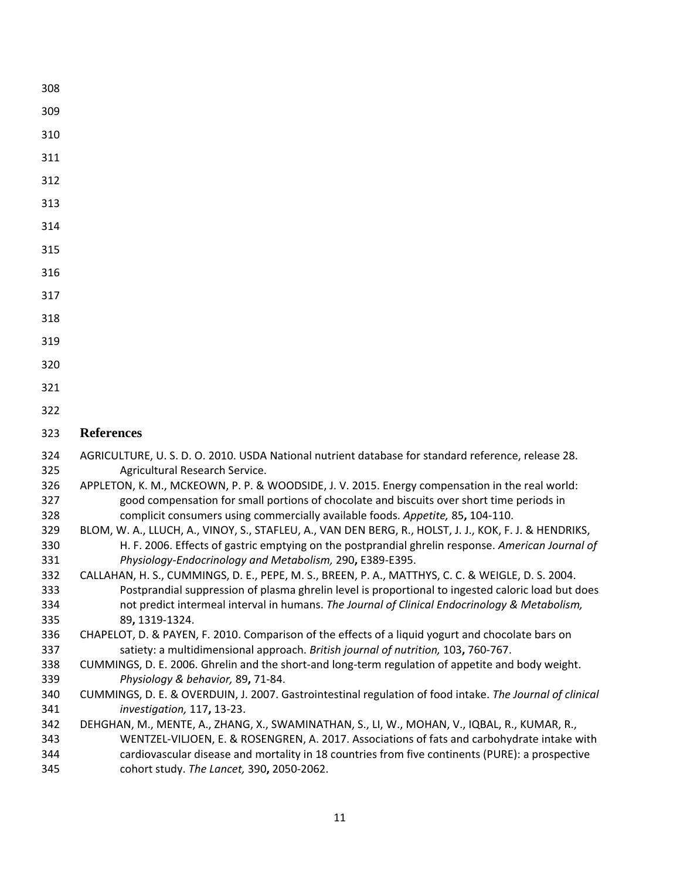- 
- 
- 
- 
- 
- 
- 
- 
- 
- 
- 
- 
- 
- 

# **References**

- <span id="page-11-0"></span> AGRICULTURE, U. S. D. O. 2010. USDA National nutrient database for standard reference, release 28. Agricultural Research Service.
- <span id="page-11-2"></span> APPLETON, K. M., MCKEOWN, P. P. & WOODSIDE, J. V. 2015. Energy compensation in the real world: good compensation for small portions of chocolate and biscuits over short time periods in complicit consumers using commercially available foods. *Appetite,* 85**,** 104-110.
- <span id="page-11-7"></span> BLOM, W. A., LLUCH, A., VINOY, S., STAFLEU, A., VAN DEN BERG, R., HOLST, J. J., KOK, F. J. & HENDRIKS, H. F. 2006. Effects of gastric emptying on the postprandial ghrelin response. *American Journal of Physiology-Endocrinology and Metabolism,* 290**,** E389-E395.
- <span id="page-11-3"></span> CALLAHAN, H. S., CUMMINGS, D. E., PEPE, M. S., BREEN, P. A., MATTHYS, C. C. & WEIGLE, D. S. 2004. Postprandial suppression of plasma ghrelin level is proportional to ingested caloric load but does not predict intermeal interval in humans. *The Journal of Clinical Endocrinology & Metabolism,* 89**,** 1319-1324.
- <span id="page-11-1"></span> CHAPELOT, D. & PAYEN, F. 2010. Comparison of the effects of a liquid yogurt and chocolate bars on satiety: a multidimensional approach. *British journal of nutrition,* 103**,** 760-767.
- <span id="page-11-5"></span> CUMMINGS, D. E. 2006. Ghrelin and the short-and long-term regulation of appetite and body weight. *Physiology & behavior,* 89**,** 71-84.
- <span id="page-11-6"></span> CUMMINGS, D. E. & OVERDUIN, J. 2007. Gastrointestinal regulation of food intake. *The Journal of clinical investigation,* 117**,** 13-23.
- <span id="page-11-4"></span> DEHGHAN, M., MENTE, A., ZHANG, X., SWAMINATHAN, S., LI, W., MOHAN, V., IQBAL, R., KUMAR, R., WENTZEL-VILJOEN, E. & ROSENGREN, A. 2017. Associations of fats and carbohydrate intake with cardiovascular disease and mortality in 18 countries from five continents (PURE): a prospective cohort study. *The Lancet,* 390**,** 2050-2062.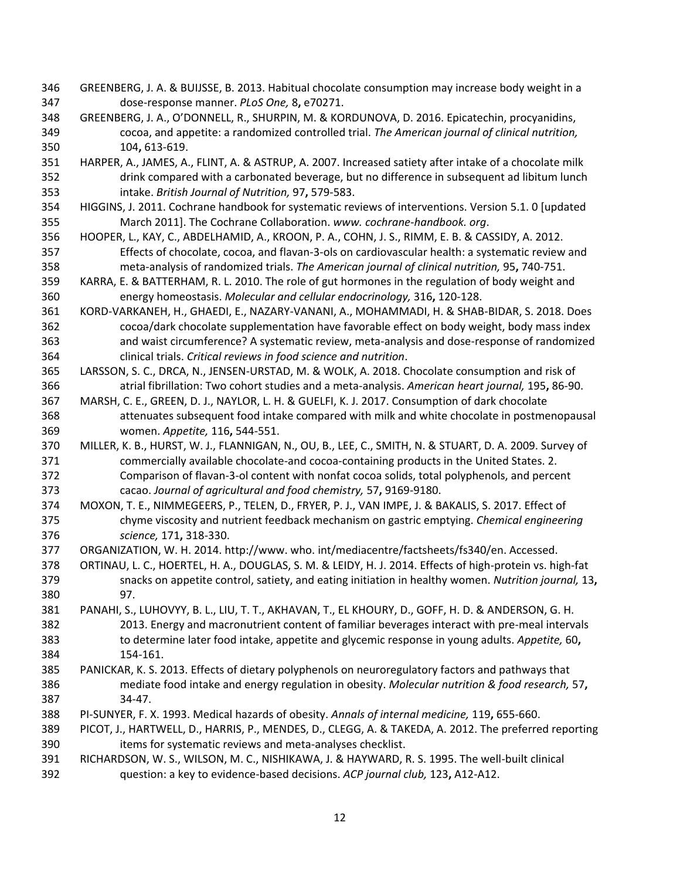- <span id="page-12-15"></span> GREENBERG, J. A. & BUIJSSE, B. 2013. Habitual chocolate consumption may increase body weight in a dose-response manner. *PLoS One,* 8**,** e70271.
- <span id="page-12-9"></span> GREENBERG, J. A., O'DONNELL, R., SHURPIN, M. & KORDUNOVA, D. 2016. Epicatechin, procyanidins, cocoa, and appetite: a randomized controlled trial. *The American journal of clinical nutrition,* 104**,** 613-619.
- <span id="page-12-10"></span> HARPER, A., JAMES, A., FLINT, A. & ASTRUP, A. 2007. Increased satiety after intake of a chocolate milk drink compared with a carbonated beverage, but no difference in subsequent ad libitum lunch intake. *British Journal of Nutrition,* 97**,** 579-583.
- <span id="page-12-14"></span> HIGGINS, J. 2011. Cochrane handbook for systematic reviews of interventions. Version 5.1. 0 [updated March 2011]. The Cochrane Collaboration. *www. cochrane-handbook. org*.
- <span id="page-12-6"></span> HOOPER, L., KAY, C., ABDELHAMID, A., KROON, P. A., COHN, J. S., RIMM, E. B. & CASSIDY, A. 2012. Effects of chocolate, cocoa, and flavan-3-ols on cardiovascular health: a systematic review and meta-analysis of randomized trials. *The American journal of clinical nutrition,* 95**,** 740-751.
- <span id="page-12-3"></span> KARRA, E. & BATTERHAM, R. L. 2010. The role of gut hormones in the regulation of body weight and energy homeostasis. *Molecular and cellular endocrinology,* 316**,** 120-128.
- <span id="page-12-7"></span> KORD-VARKANEH, H., GHAEDI, E., NAZARY-VANANI, A., MOHAMMADI, H. & SHAB-BIDAR, S. 2018. Does cocoa/dark chocolate supplementation have favorable effect on body weight, body mass index and waist circumference? A systematic review, meta-analysis and dose-response of randomized clinical trials. *Critical reviews in food science and nutrition*.
- <span id="page-12-1"></span> LARSSON, S. C., DRCA, N., JENSEN-URSTAD, M. & WOLK, A. 2018. Chocolate consumption and risk of atrial fibrillation: Two cohort studies and a meta-analysis. *American heart journal,* 195**,** 86-90.
- <span id="page-12-8"></span> MARSH, C. E., GREEN, D. J., NAYLOR, L. H. & GUELFI, K. J. 2017. Consumption of dark chocolate attenuates subsequent food intake compared with milk and white chocolate in postmenopausal women. *Appetite,* 116**,** 544-551.
- <span id="page-12-5"></span> MILLER, K. B., HURST, W. J., FLANNIGAN, N., OU, B., LEE, C., SMITH, N. & STUART, D. A. 2009. Survey of commercially available chocolate-and cocoa-containing products in the United States. 2. Comparison of flavan-3-ol content with nonfat cocoa solids, total polyphenols, and percent cacao. *Journal of agricultural and food chemistry,* 57**,** 9169-9180.
- <span id="page-12-17"></span> MOXON, T. E., NIMMEGEERS, P., TELEN, D., FRYER, P. J., VAN IMPE, J. & BAKALIS, S. 2017. Effect of chyme viscosity and nutrient feedback mechanism on gastric emptying. *Chemical engineering science,* 171**,** 318-330.
- <span id="page-12-0"></span>ORGANIZATION, W. H. 2014. http://www. who. int/mediacentre/factsheets/fs340/en. Accessed.
- <span id="page-12-11"></span> ORTINAU, L. C., HOERTEL, H. A., DOUGLAS, S. M. & LEIDY, H. J. 2014. Effects of high-protein vs. high-fat snacks on appetite control, satiety, and eating initiation in healthy women. *Nutrition journal,* 13**,** 97.
- <span id="page-12-4"></span> PANAHI, S., LUHOVYY, B. L., LIU, T. T., AKHAVAN, T., EL KHOURY, D., GOFF, H. D. & ANDERSON, G. H. 2013. Energy and macronutrient content of familiar beverages interact with pre-meal intervals to determine later food intake, appetite and glycemic response in young adults. *Appetite,* 60**,** 154-161.
- <span id="page-12-16"></span> PANICKAR, K. S. 2013. Effects of dietary polyphenols on neuroregulatory factors and pathways that mediate food intake and energy regulation in obesity. *Molecular nutrition & food research,* 57**,** 34-47.
- <span id="page-12-2"></span>PI-SUNYER, F. X. 1993. Medical hazards of obesity. *Annals of internal medicine,* 119**,** 655-660.
- <span id="page-12-12"></span> PICOT, J., HARTWELL, D., HARRIS, P., MENDES, D., CLEGG, A. & TAKEDA, A. 2012. The preferred reporting items for systematic reviews and meta-analyses checklist.
- <span id="page-12-13"></span> RICHARDSON, W. S., WILSON, M. C., NISHIKAWA, J. & HAYWARD, R. S. 1995. The well-built clinical question: a key to evidence-based decisions. *ACP journal club,* 123**,** A12-A12.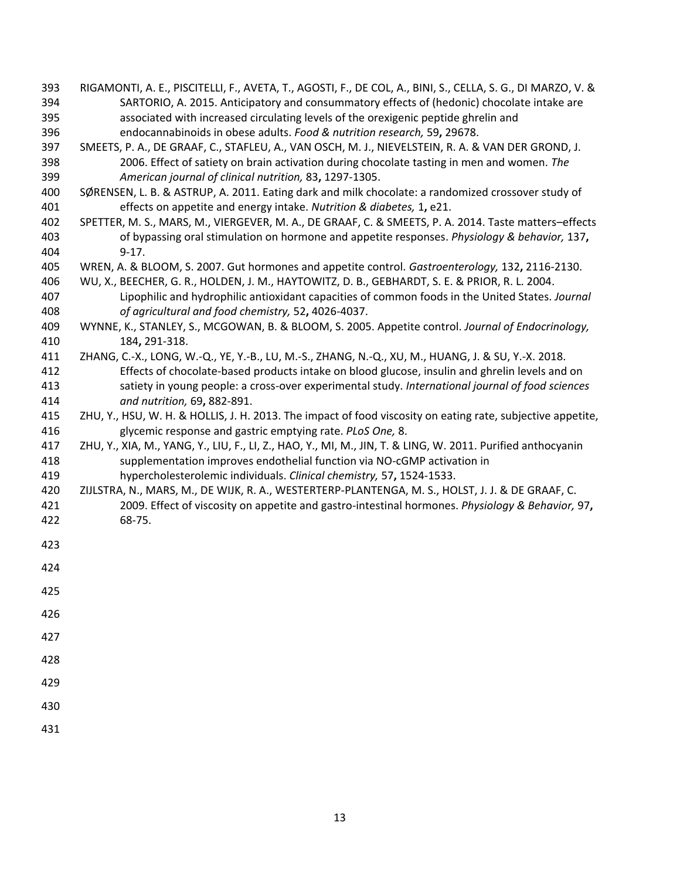- <span id="page-13-5"></span> RIGAMONTI, A. E., PISCITELLI, F., AVETA, T., AGOSTI, F., DE COL, A., BINI, S., CELLA, S. G., DI MARZO, V. & SARTORIO, A. 2015. Anticipatory and consummatory effects of (hedonic) chocolate intake are associated with increased circulating levels of the orexigenic peptide ghrelin and endocannabinoids in obese adults. *Food & nutrition research,* 59**,** 29678.
- <span id="page-13-6"></span> SMEETS, P. A., DE GRAAF, C., STAFLEU, A., VAN OSCH, M. J., NIEVELSTEIN, R. A. & VAN DER GROND, J. 2006. Effect of satiety on brain activation during chocolate tasting in men and women. *The American journal of clinical nutrition,* 83**,** 1297-1305.
- <span id="page-13-7"></span> SØRENSEN, L. B. & ASTRUP, A. 2011. Eating dark and milk chocolate: a randomized crossover study of effects on appetite and energy intake. *Nutrition & diabetes,* 1**,** e21.
- <span id="page-13-3"></span> SPETTER, M. S., MARS, M., VIERGEVER, M. A., DE GRAAF, C. & SMEETS, P. A. 2014. Taste matters–effects of bypassing oral stimulation on hormone and appetite responses. *Physiology & behavior,* 137**,** 9-17.
- <span id="page-13-9"></span>WREN, A. & BLOOM, S. 2007. Gut hormones and appetite control. *Gastroenterology,* 132**,** 2116-2130.
- <span id="page-13-2"></span> WU, X., BEECHER, G. R., HOLDEN, J. M., HAYTOWITZ, D. B., GEBHARDT, S. E. & PRIOR, R. L. 2004. Lipophilic and hydrophilic antioxidant capacities of common foods in the United States. *Journal of agricultural and food chemistry,* 52**,** 4026-4037.
- <span id="page-13-1"></span> WYNNE, K., STANLEY, S., MCGOWAN, B. & BLOOM, S. 2005. Appetite control. *Journal of Endocrinology,* 184**,** 291-318.
- <span id="page-13-4"></span> ZHANG, C.-X., LONG, W.-Q., YE, Y.-B., LU, M.-S., ZHANG, N.-Q., XU, M., HUANG, J. & SU, Y.-X. 2018. Effects of chocolate-based products intake on blood glucose, insulin and ghrelin levels and on satiety in young people: a cross-over experimental study. *International journal of food sciences and nutrition,* 69**,** 882-891.
- <span id="page-13-10"></span> ZHU, Y., HSU, W. H. & HOLLIS, J. H. 2013. The impact of food viscosity on eating rate, subjective appetite, glycemic response and gastric emptying rate. *PLoS One,* 8.
- <span id="page-13-8"></span> ZHU, Y., XIA, M., YANG, Y., LIU, F., LI, Z., HAO, Y., MI, M., JIN, T. & LING, W. 2011. Purified anthocyanin supplementation improves endothelial function via NO-cGMP activation in hypercholesterolemic individuals. *Clinical chemistry,* 57**,** 1524-1533.
- <span id="page-13-0"></span> ZIJLSTRA, N., MARS, M., DE WIJK, R. A., WESTERTERP-PLANTENGA, M. S., HOLST, J. J. & DE GRAAF, C. 2009. Effect of viscosity on appetite and gastro-intestinal hormones. *Physiology & Behavior,* 97**,** 68-75.

- 
-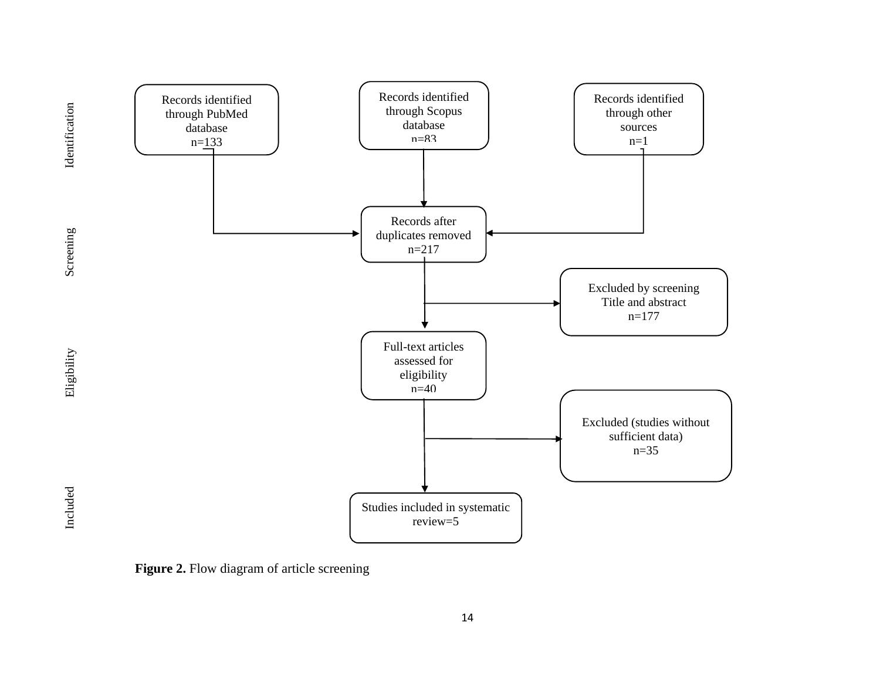

**Figure 2.** Flow diagram of article screening

Screening

Eligibility

Included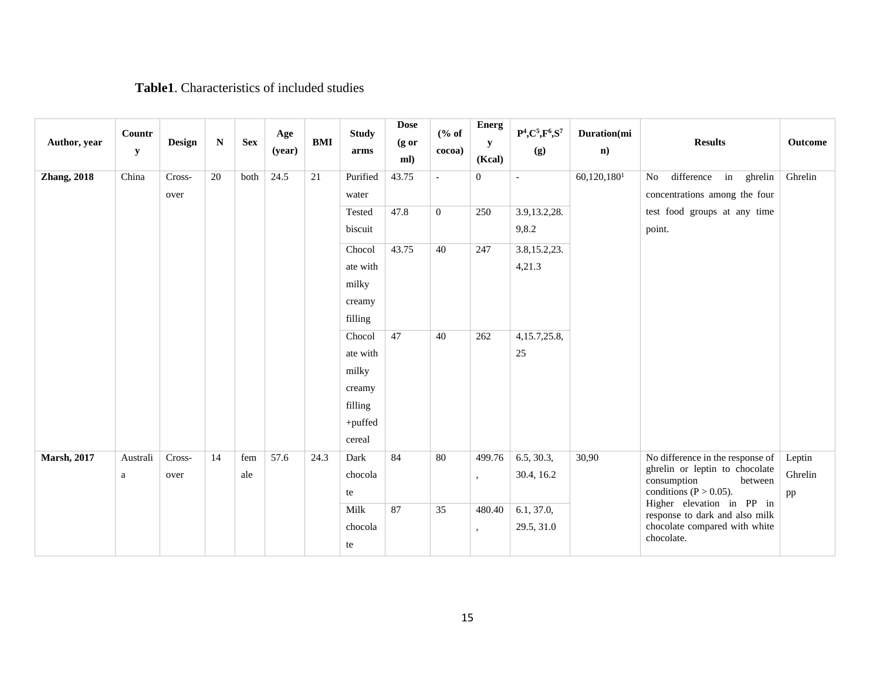## **Table1**. Characteristics of included studies

| Author, year        | Countr<br>${\bf y}$ | <b>Design</b> | $\mathbf N$ | <b>Sex</b> | Age<br>(year) | <b>BMI</b> | <b>Study</b><br>arms | <b>Dose</b><br>$(g \text{ or }$<br>ml) | % of<br>cocoa)              | <b>Energ</b><br>y<br>(Kcal) | $P^4, C^5, F^6, S^7$<br>(g) | Duration(mi<br>$\mathbf{n}$ ) | <b>Results</b>                                                     | Outcome           |
|---------------------|---------------------|---------------|-------------|------------|---------------|------------|----------------------|----------------------------------------|-----------------------------|-----------------------------|-----------------------------|-------------------------------|--------------------------------------------------------------------|-------------------|
| <b>Zhang</b> , 2018 | China               | Cross-        | 20          | both       | 24.5          | $21\,$     | Purified             | 43.75                                  | $\mathcal{L}^{\mathcal{A}}$ | $\boldsymbol{0}$            | $\mathbf{r}$                | $60,120,180$ <sup>1</sup>     | difference in<br>No<br>ghrelin                                     | Ghrelin           |
|                     |                     | over          |             |            |               |            | water                |                                        |                             |                             |                             |                               | concentrations among the four                                      |                   |
|                     |                     |               |             |            |               |            | Tested               | 47.8                                   | $\overline{0}$              | 250                         | 3.9, 13.2, 28.              |                               | test food groups at any time                                       |                   |
|                     |                     |               |             |            |               |            | biscuit              |                                        |                             |                             | 9,8.2                       |                               | point.                                                             |                   |
|                     |                     |               |             |            |               |            | Chocol               | 43.75                                  | 40                          | 247                         | 3.8, 15.2, 23.              |                               |                                                                    |                   |
|                     |                     |               |             |            |               |            | ate with             |                                        |                             |                             | 4,21.3                      |                               |                                                                    |                   |
|                     |                     |               |             |            |               |            | milky                |                                        |                             |                             |                             |                               |                                                                    |                   |
|                     |                     |               |             |            |               |            | creamy               |                                        |                             |                             |                             |                               |                                                                    |                   |
|                     |                     |               |             |            |               |            | filling              |                                        |                             |                             |                             |                               |                                                                    |                   |
|                     |                     |               |             |            |               |            | Chocol               | 47                                     | 40                          | 262                         | 4, 15.7, 25.8,              |                               |                                                                    |                   |
|                     |                     |               |             |            |               |            | ate with             |                                        |                             |                             | 25                          |                               |                                                                    |                   |
|                     |                     |               |             |            |               |            | milky                |                                        |                             |                             |                             |                               |                                                                    |                   |
|                     |                     |               |             |            |               |            | creamy               |                                        |                             |                             |                             |                               |                                                                    |                   |
|                     |                     |               |             |            |               |            | filling              |                                        |                             |                             |                             |                               |                                                                    |                   |
|                     |                     |               |             |            |               |            | +puffed              |                                        |                             |                             |                             |                               |                                                                    |                   |
|                     |                     |               |             |            |               |            | cereal               | 84                                     |                             |                             |                             |                               |                                                                    |                   |
| <b>Marsh, 2017</b>  | Australi            | Cross-        | 14          | fem        | 57.6          | 24.3       | Dark                 |                                        | 80                          | 499.76                      | 6.5, 30.3,                  | 30,90                         | No difference in the response of<br>ghrelin or leptin to chocolate | Leptin<br>Ghrelin |
|                     | a                   | over          |             | ale        |               |            | chocola<br>te        |                                        |                             | $\cdot$                     | 30.4, 16.2                  |                               | consumption<br>between                                             |                   |
|                     |                     |               |             |            |               |            | Milk                 | 87                                     | 35                          | 480.40                      | 6.1, 37.0,                  |                               | conditions ( $P > 0.05$ ).<br>Higher elevation in PP in            | pp                |
|                     |                     |               |             |            |               |            | chocola              |                                        |                             |                             | 29.5, 31.0                  |                               | response to dark and also milk<br>chocolate compared with white    |                   |
|                     |                     |               |             |            |               |            | te                   |                                        |                             | ,                           |                             |                               | chocolate.                                                         |                   |
|                     |                     |               |             |            |               |            |                      |                                        |                             |                             |                             |                               |                                                                    |                   |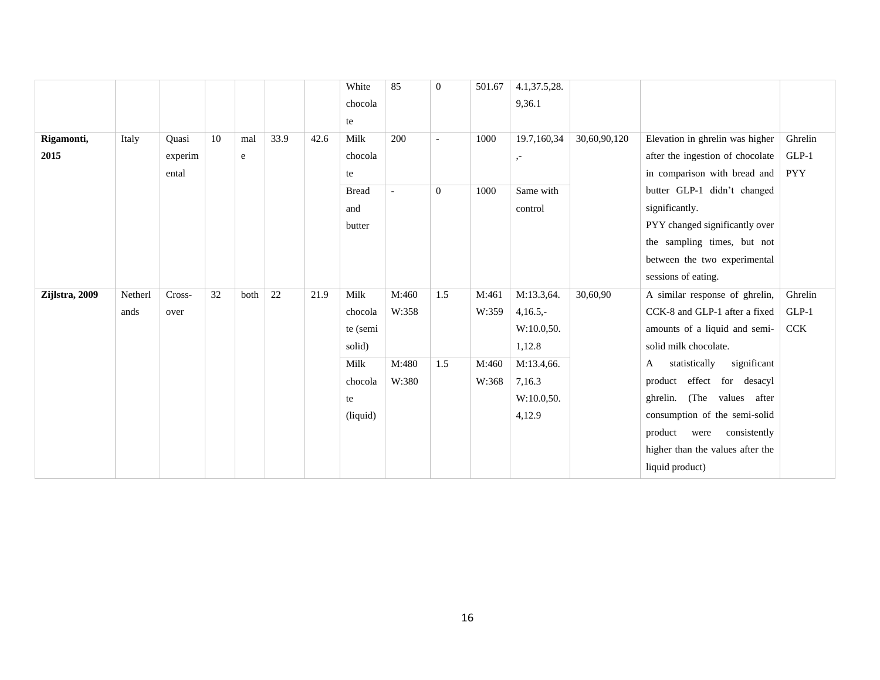|                |         |         |    |      |      |      | White        | 85             | $\mathbf{0}$   | 501.67 | 4.1,37.5,28. |              |                                   |            |
|----------------|---------|---------|----|------|------|------|--------------|----------------|----------------|--------|--------------|--------------|-----------------------------------|------------|
|                |         |         |    |      |      |      | chocola      |                |                |        | 9,36.1       |              |                                   |            |
|                |         |         |    |      |      |      | te           |                |                |        |              |              |                                   |            |
| Rigamonti,     | Italy   | Quasi   | 10 | mal  | 33.9 | 42.6 | Milk         | 200            | $\overline{a}$ | 1000   | 19.7,160,34  | 30,60,90,120 | Elevation in ghrelin was higher   | Ghrelin    |
| 2015           |         | experim |    | e    |      |      | chocola      |                |                |        | $, -$        |              | after the ingestion of chocolate  | $GLP-1$    |
|                |         | ental   |    |      |      |      | te           |                |                |        |              |              | in comparison with bread and      | <b>PYY</b> |
|                |         |         |    |      |      |      | <b>Bread</b> | $\overline{a}$ | $\overline{0}$ | 1000   | Same with    |              | butter GLP-1 didn't changed       |            |
|                |         |         |    |      |      |      | and          |                |                |        | control      |              | significantly.                    |            |
|                |         |         |    |      |      |      | butter       |                |                |        |              |              | PYY changed significantly over    |            |
|                |         |         |    |      |      |      |              |                |                |        |              |              | the sampling times, but not       |            |
|                |         |         |    |      |      |      |              |                |                |        |              |              | between the two experimental      |            |
|                |         |         |    |      |      |      |              |                |                |        |              |              | sessions of eating.               |            |
| Zijlstra, 2009 | Netherl | Cross-  | 32 | both | 22   | 21.9 | Milk         | M:460          | 1.5            | M:461  | M:13.3,64.   | 30,60,90     | A similar response of ghrelin,    | Ghrelin    |
|                | ands    | over    |    |      |      |      | chocola      | W:358          |                | W:359  | $4,16.5,-$   |              | CCK-8 and GLP-1 after a fixed     | $GLP-1$    |
|                |         |         |    |      |      |      | te (semi     |                |                |        | W:10.0,50.   |              | amounts of a liquid and semi-     | <b>CCK</b> |
|                |         |         |    |      |      |      | solid)       |                |                |        | 1,12.8       |              | solid milk chocolate.             |            |
|                |         |         |    |      |      |      | Milk         | M:480          | 1.5            | M:460  | M:13.4,66.   |              | significant<br>statistically<br>A |            |
|                |         |         |    |      |      |      | chocola      | W:380          |                | W:368  | 7,16.3       |              | product effect for desacyl        |            |
|                |         |         |    |      |      |      | te           |                |                |        | W:10.0,50.   |              | ghrelin. (The values after        |            |
|                |         |         |    |      |      |      | (liquid)     |                |                |        | 4,12.9       |              | consumption of the semi-solid     |            |
|                |         |         |    |      |      |      |              |                |                |        |              |              | consistently<br>product<br>were   |            |
|                |         |         |    |      |      |      |              |                |                |        |              |              | higher than the values after the  |            |
|                |         |         |    |      |      |      |              |                |                |        |              |              | liquid product)                   |            |